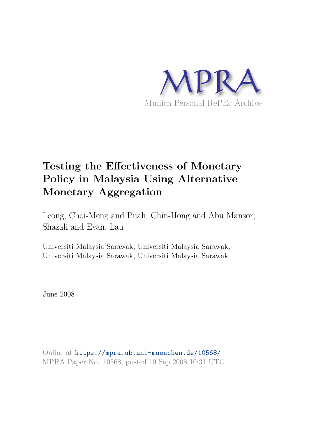

# **Testing the Effectiveness of Monetary Policy in Malaysia Using Alternative Monetary Aggregation**

Leong, Choi-Meng and Puah, Chin-Hong and Abu Mansor, Shazali and Evan, Lau

Universiti Malaysia Sarawak, Universiti Malaysia Sarawak, Universiti Malaysia Sarawak, Universiti Malaysia Sarawak

June 2008

Online at https://mpra.ub.uni-muenchen.de/10568/ MPRA Paper No. 10568, posted 19 Sep 2008 10:31 UTC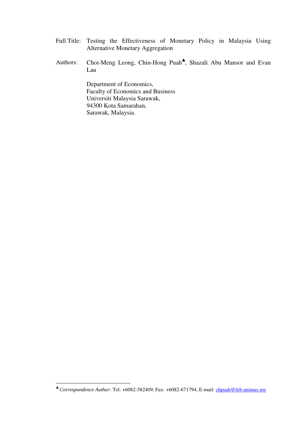- Full Title: Testing the Effectiveness of Monetary Policy in Malaysia Using Alternative Monetary Aggregation
- Authors: Choi-Meng Leong, Chin-Hong Puah<sup>\*</sup>, Shazali Abu Mansor and Evan Lau

Department of Economics, Faculty of Economics and Business Universiti Malaysia Sarawak, 94300 Kota Samarahan, Sarawak, Malaysia.

 $\overline{a}$ 

<sup>♣</sup> *Correspondence Author:* Tel: +6082-582409, Fax: +6082-671794, E-mail: chpuah@feb.unimas.my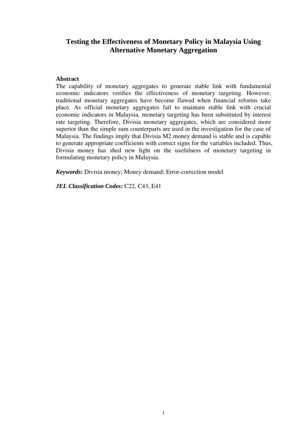# **Testing the Effectiveness of Monetary Policy in Malaysia Using Alternative Monetary Aggregation**

# **Abstract**

The capability of monetary aggregates to generate stable link with fundamental economic indicators verifies the effectiveness of monetary targeting. However, traditional monetary aggregates have become flawed when financial reforms take place. As official monetary aggregates fail to maintain stable link with crucial economic indicators in Malaysia, monetary targeting has been substituted by interest rate targeting. Therefore, Divisia monetary aggregates, which are considered more superior than the simple sum counterparts are used in the investigation for the case of Malaysia. The findings imply that Divisia M2 money demand is stable and is capable to generate appropriate coefficients with correct signs for the variables included. Thus, Divisia money has shed new light on the usefulness of monetary targeting in formulating monetary policy in Malaysia.

*Keywords***:** Divisia money; Money demand; Error-correction model

*JEL Classification Codes***:** C22, C43, E41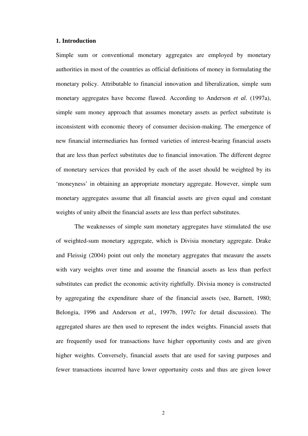#### **1. Introduction**

Simple sum or conventional monetary aggregates are employed by monetary authorities in most of the countries as official definitions of money in formulating the monetary policy. Attributable to financial innovation and liberalization, simple sum monetary aggregates have become flawed. According to Anderson *et al.* (1997a), simple sum money approach that assumes monetary assets as perfect substitute is inconsistent with economic theory of consumer decision-making. The emergence of new financial intermediaries has formed varieties of interest-bearing financial assets that are less than perfect substitutes due to financial innovation. The different degree of monetary services that provided by each of the asset should be weighted by its 'moneyness' in obtaining an appropriate monetary aggregate. However, simple sum monetary aggregates assume that all financial assets are given equal and constant weights of unity albeit the financial assets are less than perfect substitutes.

The weaknesses of simple sum monetary aggregates have stimulated the use of weighted-sum monetary aggregate, which is Divisia monetary aggregate. Drake and Fleissig (2004) point out only the monetary aggregates that measure the assets with vary weights over time and assume the financial assets as less than perfect substitutes can predict the economic activity rightfully. Divisia money is constructed by aggregating the expenditure share of the financial assets (see, Barnett, 1980; Belongia, 1996 and Anderson *et al.,* 1997b, 1997c for detail discussion). The aggregated shares are then used to represent the index weights. Financial assets that are frequently used for transactions have higher opportunity costs and are given higher weights. Conversely, financial assets that are used for saving purposes and fewer transactions incurred have lower opportunity costs and thus are given lower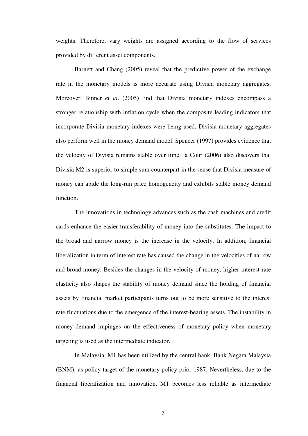weights. Therefore, vary weights are assigned according to the flow of services provided by different asset components.

Barnett and Chang (2005) reveal that the predictive power of the exchange rate in the monetary models is more accurate using Divisia monetary aggregates. Moreover, Binner *et al.* (2005) find that Divisia monetary indexes encompass a stronger relationship with inflation cycle when the composite leading indicators that incorporate Divisia monetary indexes were being used. Divisia monetary aggregates also perform well in the money demand model. Spencer (1997) provides evidence that the velocity of Divisia remains stable over time. la Cour (2006) also discovers that Divisia M2 is superior to simple sum counterpart in the sense that Divisia measure of money can abide the long-run price homogeneity and exhibits stable money demand function.

The innovations in technology advances such as the cash machines and credit cards enhance the easier transferability of money into the substitutes. The impact to the broad and narrow money is the increase in the velocity. In addition, financial liberalization in term of interest rate has caused the change in the velocities of narrow and broad money. Besides the changes in the velocity of money, higher interest rate elasticity also shapes the stability of money demand since the holding of financial assets by financial market participants turns out to be more sensitive to the interest rate fluctuations due to the emergence of the interest-bearing assets. The instability in money demand impinges on the effectiveness of monetary policy when monetary targeting is used as the intermediate indicator.

 In Malaysia, M1 has been utilized by the central bank, Bank Negara Malaysia (BNM), as policy target of the monetary policy prior 1987. Nevertheless, due to the financial liberalization and innovation, M1 becomes less reliable as intermediate

3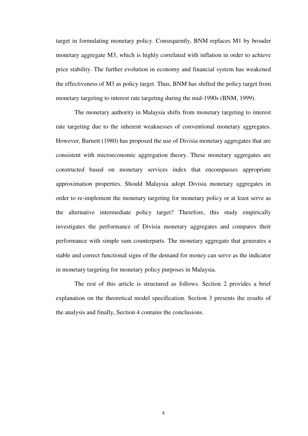target in formulating monetary policy. Consequently, BNM replaces M1 by broader monetary aggregate M3, which is highly correlated with inflation in order to achieve price stability. The further evolution in economy and financial system has weakened the effectiveness of M3 as policy target. Thus, BNM has shifted the policy target from monetary targeting to interest rate targeting during the mid-1990s (BNM, 1999).

The monetary authority in Malaysia shifts from monetary targeting to interest rate targeting due to the inherent weaknesses of conventional monetary aggregates. However, Barnett (1980) has proposed the use of Divisia monetary aggregates that are consistent with microeconomic aggregation theory. These monetary aggregates are constructed based on monetary services index that encompasses appropriate approximation properties. Should Malaysia adopt Divisia monetary aggregates in order to re-implement the monetary targeting for monetary policy or at least serve as the alternative intermediate policy target? Therefore, this study empirically investigates the performance of Divisia monetary aggregates and compares their performance with simple sum counterparts. The monetary aggregate that generates a stable and correct functional signs of the demand for money can serve as the indicator in monetary targeting for monetary policy purposes in Malaysia.

The rest of this article is structured as follows. Section 2 provides a brief explanation on the theoretical model specification. Section 3 presents the results of the analysis and finally, Section 4 contains the conclusions.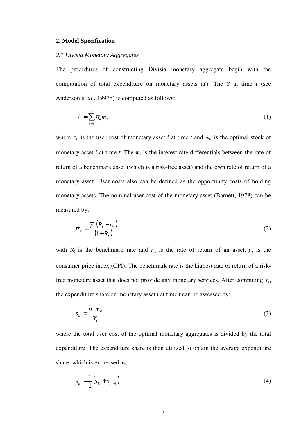#### **2. Model Specification**

### *2.1 Divisia Monetary Aggregates*

The procedures of constructing Divisia monetary aggregate begin with the computation of total expenditure on monetary assets (*Y*). The *Y* at time *t* (see Anderson *et al.*, 1997b) is computed as follows:

$$
Y_t = \sum_{i=1}^n \pi_{it} \overline{m}_{it} \tag{1}
$$

where  $\pi_{it}$  is the user cost of monetary asset *i* at time *t* and  $\overline{m}_{it}$  is the optimal stock of monetary asset *i* at time *t*. The  $\pi_{it}$  is the interest rate differentials between the rate of return of a benchmark asset (which is a risk-free asset) and the own rate of return of a monetary asset. User costs also can be defined as the opportunity costs of holding monetary assets. The nominal user cost of the monetary asset (Barnett, 1978) can be measured by:

$$
\pi_{it} = \frac{\overline{p}_t (R_t - r_{it})}{(1 + R_t)}
$$
\n(2)

with  $R_t$  is the benchmark rate and  $r_{it}$  is the rate of return of an asset.  $\overline{p}_t$  is the consumer price index (CPI). The benchmark rate is the highest rate of return of a riskfree monetary asset that does not provide any monetary services. After computing *Y<sup>t</sup>* , the expenditure share on monetary asset *i* at time *t* can be assessed by:

$$
s_{it} = \frac{\pi_{it} \overline{m}_{it}}{Y_t} \tag{3}
$$

where the total user cost of the optimal monetary aggregates is divided by the total expenditure. The expenditure share is then utilized to obtain the average expenditure share, which is expressed as:

$$
\bar{s}_{it} = \frac{1}{2} (s_{it} + s_{i,t-1})
$$
 (4)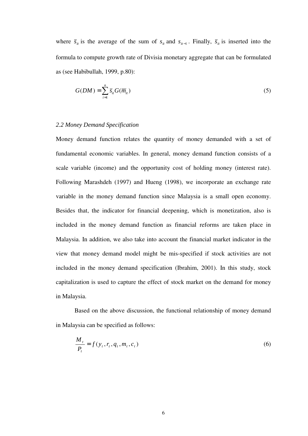where  $\bar{s}_{it}$  is the average of the sum of  $s_{it}$  and  $s_{it-1}$ . Finally,  $\bar{s}_{it}$  is inserted into the formula to compute growth rate of Divisia monetary aggregate that can be formulated as (see Habibullah, 1999, p.80):

$$
G(DM) = \sum_{i=1}^{n} \overline{s}_{ii} G(\overline{m}_{ii})
$$
\n(5)

# *2.2 Money Demand Specification*

Money demand function relates the quantity of money demanded with a set of fundamental economic variables. In general, money demand function consists of a scale variable (income) and the opportunity cost of holding money (interest rate). Following Marashdeh (1997) and Hueng (1998), we incorporate an exchange rate variable in the money demand function since Malaysia is a small open economy. Besides that, the indicator for financial deepening, which is monetization, also is included in the money demand function as financial reforms are taken place in Malaysia. In addition, we also take into account the financial market indicator in the view that money demand model might be mis-specified if stock activities are not included in the money demand specification (Ibrahim, 2001). In this study, stock capitalization is used to capture the effect of stock market on the demand for money in Malaysia.

Based on the above discussion, the functional relationship of money demand in Malaysia can be specified as follows:

$$
\frac{M_t}{P_t} = f(y_t, r_t, q_t, m_t, c_t)
$$
\n(6)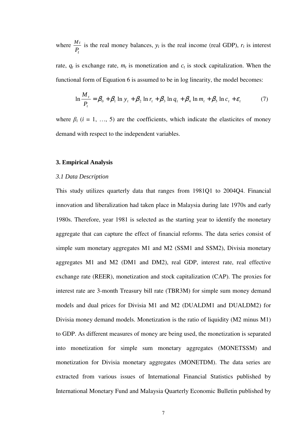where *t t P*  $\frac{M_t}{R}$  is the real money balances,  $y_t$  is the real income (real GDP),  $r_t$  is interest

rate,  $q_t$  is exchange rate,  $m_t$  is monetization and  $c_t$  is stock capitalization. When the functional form of Equation 6 is assumed to be in log linearity, the model becomes:

$$
\ln \frac{M_t}{P_t} = \beta_0 + \beta_1 \ln y_t + \beta_2 \ln r_t + \beta_3 \ln q_t + \beta_4 \ln m_t + \beta_5 \ln c_t + \varepsilon_t \tag{7}
$$

where  $\beta_i$  ( $i = 1, ..., 5$ ) are the coefficients, which indicate the elasticites of money demand with respect to the independent variables.

#### **3. Empirical Analysis**

#### *3.1 Data Description*

This study utilizes quarterly data that ranges from 1981Q1 to 2004Q4. Financial innovation and liberalization had taken place in Malaysia during late 1970s and early 1980s. Therefore, year 1981 is selected as the starting year to identify the monetary aggregate that can capture the effect of financial reforms. The data series consist of simple sum monetary aggregates M1 and M2 (SSM1 and SSM2), Divisia monetary aggregates M1 and M2 (DM1 and DM2), real GDP, interest rate, real effective exchange rate (REER), monetization and stock capitalization (CAP). The proxies for interest rate are 3-month Treasury bill rate (TBR3M) for simple sum money demand models and dual prices for Divisia M1 and M2 (DUALDM1 and DUALDM2) for Divisia money demand models. Monetization is the ratio of liquidity (M2 minus M1) to GDP. As different measures of money are being used, the monetization is separated into monetization for simple sum monetary aggregates (MONETSSM) and monetization for Divisia monetary aggregates (MONETDM). The data series are extracted from various issues of International Financial Statistics published by International Monetary Fund and Malaysia Quarterly Economic Bulletin published by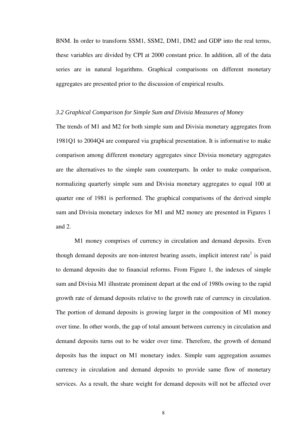BNM. In order to transform SSM1, SSM2, DM1, DM2 and GDP into the real terms, these variables are divided by CPI at 2000 constant price. In addition, all of the data series are in natural logarithms. Graphical comparisons on different monetary aggregates are presented prior to the discussion of empirical results.

#### *3.2 Graphical Comparison for Simple Sum and Divisia Measures of Money*

The trends of M1 and M2 for both simple sum and Divisia monetary aggregates from 1981Q1 to 2004Q4 are compared via graphical presentation. It is informative to make comparison among different monetary aggregates since Divisia monetary aggregates are the alternatives to the simple sum counterparts. In order to make comparison, normalizing quarterly simple sum and Divisia monetary aggregates to equal 100 at quarter one of 1981 is performed. The graphical comparisons of the derived simple sum and Divisia monetary indexes for M1 and M2 money are presented in Figures 1 and 2.

M1 money comprises of currency in circulation and demand deposits. Even though demand deposits are non-interest bearing assets, implicit interest rate<sup>1</sup> is paid to demand deposits due to financial reforms. From Figure 1, the indexes of simple sum and Divisia M1 illustrate prominent depart at the end of 1980s owing to the rapid growth rate of demand deposits relative to the growth rate of currency in circulation. The portion of demand deposits is growing larger in the composition of M1 money over time. In other words, the gap of total amount between currency in circulation and demand deposits turns out to be wider over time. Therefore, the growth of demand deposits has the impact on M1 monetary index. Simple sum aggregation assumes currency in circulation and demand deposits to provide same flow of monetary services. As a result, the share weight for demand deposits will not be affected over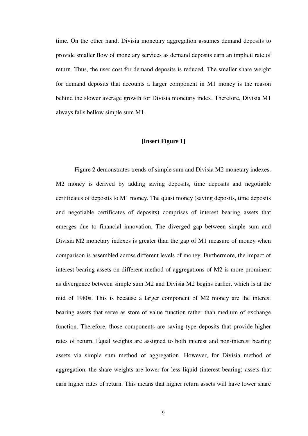time. On the other hand, Divisia monetary aggregation assumes demand deposits to provide smaller flow of monetary services as demand deposits earn an implicit rate of return. Thus, the user cost for demand deposits is reduced. The smaller share weight for demand deposits that accounts a larger component in M1 money is the reason behind the slower average growth for Divisia monetary index. Therefore, Divisia M1 always falls bellow simple sum M1.

# **[Insert Figure 1]**

Figure 2 demonstrates trends of simple sum and Divisia M2 monetary indexes. M2 money is derived by adding saving deposits, time deposits and negotiable certificates of deposits to M1 money. The quasi money (saving deposits, time deposits and negotiable certificates of deposits) comprises of interest bearing assets that emerges due to financial innovation. The diverged gap between simple sum and Divisia M2 monetary indexes is greater than the gap of M1 measure of money when comparison is assembled across different levels of money. Furthermore, the impact of interest bearing assets on different method of aggregations of M2 is more prominent as divergence between simple sum M2 and Divisia M2 begins earlier, which is at the mid of 1980s. This is because a larger component of M2 money are the interest bearing assets that serve as store of value function rather than medium of exchange function. Therefore, those components are saving-type deposits that provide higher rates of return. Equal weights are assigned to both interest and non-interest bearing assets via simple sum method of aggregation. However, for Divisia method of aggregation, the share weights are lower for less liquid (interest bearing) assets that earn higher rates of return. This means that higher return assets will have lower share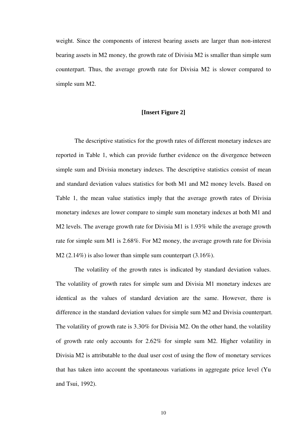weight. Since the components of interest bearing assets are larger than non-interest bearing assets in M2 money, the growth rate of Divisia M2 is smaller than simple sum counterpart. Thus, the average growth rate for Divisia M2 is slower compared to simple sum M2.

# **[Insert Figure 2]**

The descriptive statistics for the growth rates of different monetary indexes are reported in Table 1, which can provide further evidence on the divergence between simple sum and Divisia monetary indexes. The descriptive statistics consist of mean and standard deviation values statistics for both M1 and M2 money levels. Based on Table 1, the mean value statistics imply that the average growth rates of Divisia monetary indexes are lower compare to simple sum monetary indexes at both M1 and M2 levels. The average growth rate for Divisia M1 is 1.93% while the average growth rate for simple sum M1 is 2.68%. For M2 money, the average growth rate for Divisia M2 (2.14%) is also lower than simple sum counterpart (3.16%).

The volatility of the growth rates is indicated by standard deviation values. The volatility of growth rates for simple sum and Divisia M1 monetary indexes are identical as the values of standard deviation are the same. However, there is difference in the standard deviation values for simple sum M2 and Divisia counterpart. The volatility of growth rate is 3.30% for Divisia M2. On the other hand, the volatility of growth rate only accounts for 2.62% for simple sum M2. Higher volatility in Divisia M2 is attributable to the dual user cost of using the flow of monetary services that has taken into account the spontaneous variations in aggregate price level (Yu and Tsui, 1992).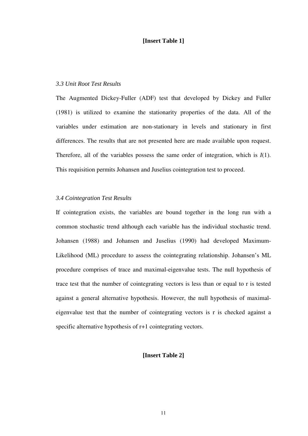# **[Insert Table 1]**

# *3.3 Unit Root Test Results*

The Augmented Dickey-Fuller (ADF) test that developed by Dickey and Fuller (1981) is utilized to examine the stationarity properties of the data. All of the variables under estimation are non-stationary in levels and stationary in first differences. The results that are not presented here are made available upon request. Therefore, all of the variables possess the same order of integration, which is *I*(1). This requisition permits Johansen and Juselius cointegration test to proceed.

# *3.4 Cointegration Test Results*

If cointegration exists, the variables are bound together in the long run with a common stochastic trend although each variable has the individual stochastic trend. Johansen (1988) and Johansen and Juselius (1990) had developed Maximum-Likelihood (ML) procedure to assess the cointegrating relationship. Johansen's ML procedure comprises of trace and maximal-eigenvalue tests. The null hypothesis of trace test that the number of cointegrating vectors is less than or equal to r is tested against a general alternative hypothesis. However, the null hypothesis of maximaleigenvalue test that the number of cointegrating vectors is r is checked against a specific alternative hypothesis of  $r+1$  cointegrating vectors.

# **[Insert Table 2]**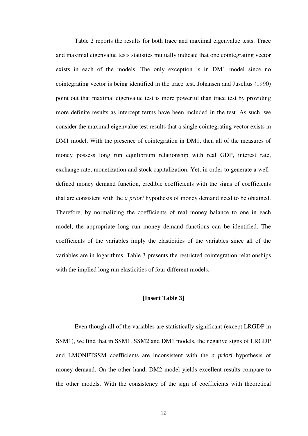Table 2 reports the results for both trace and maximal eigenvalue tests. Trace and maximal eigenvalue tests statistics mutually indicate that one cointegrating vector exists in each of the models. The only exception is in DM1 model since no cointegrating vector is being identified in the trace test. Johansen and Juselius (1990) point out that maximal eigenvalue test is more powerful than trace test by providing more definite results as intercept terms have been included in the test. As such, we consider the maximal eigenvalue test results that a single cointegrating vector exists in DM1 model. With the presence of cointegration in DM1, then all of the measures of money possess long run equilibrium relationship with real GDP, interest rate, exchange rate, monetization and stock capitalization. Yet, in order to generate a welldefined money demand function, credible coefficients with the signs of coefficients that are consistent with the *a priori* hypothesis of money demand need to be obtained. Therefore, by normalizing the coefficients of real money balance to one in each model, the appropriate long run money demand functions can be identified. The coefficients of the variables imply the elasticities of the variables since all of the variables are in logarithms. Table 3 presents the restricted cointegration relationships with the implied long run elasticities of four different models.

## **[Insert Table 3]**

Even though all of the variables are statistically significant (except LRGDP in SSM1), we find that in SSM1, SSM2 and DM1 models, the negative signs of LRGDP and LMONETSSM coefficients are inconsistent with the *a priori* hypothesis of money demand. On the other hand, DM2 model yields excellent results compare to the other models. With the consistency of the sign of coefficients with theoretical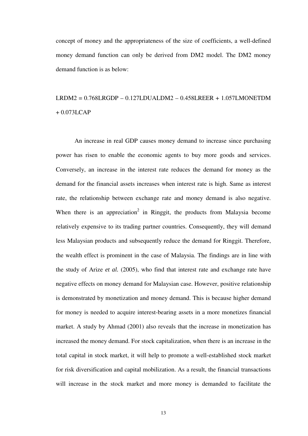concept of money and the appropriateness of the size of coefficients, a well-defined money demand function can only be derived from DM2 model. The DM2 money demand function is as below:

# LRDM2 = 0.768LRGDP – 0.127LDUALDM2 – 0.458LREER + 1.057LMONETDM  $+ 0.073$ LCAP

An increase in real GDP causes money demand to increase since purchasing power has risen to enable the economic agents to buy more goods and services. Conversely, an increase in the interest rate reduces the demand for money as the demand for the financial assets increases when interest rate is high. Same as interest rate, the relationship between exchange rate and money demand is also negative. When there is an appreciation<sup>2</sup> in Ringgit, the products from Malaysia become relatively expensive to its trading partner countries. Consequently, they will demand less Malaysian products and subsequently reduce the demand for Ringgit. Therefore, the wealth effect is prominent in the case of Malaysia. The findings are in line with the study of Arize *et al.* (2005), who find that interest rate and exchange rate have negative effects on money demand for Malaysian case. However, positive relationship is demonstrated by monetization and money demand. This is because higher demand for money is needed to acquire interest-bearing assets in a more monetizes financial market. A study by Ahmad (2001) also reveals that the increase in monetization has increased the money demand. For stock capitalization, when there is an increase in the total capital in stock market, it will help to promote a well-established stock market for risk diversification and capital mobilization. As a result, the financial transactions will increase in the stock market and more money is demanded to facilitate the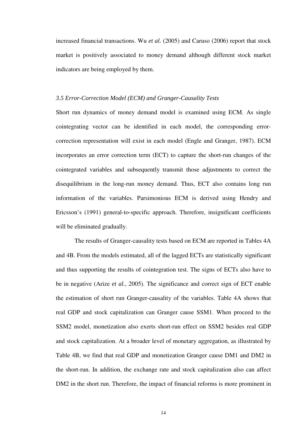increased financial transactions. Wu *et al.* (2005) and Caruso (2006) report that stock market is positively associated to money demand although different stock market indicators are being employed by them.

### *3.5 Error-Correction Model (ECM) and Granger-Causality Tests*

Short run dynamics of money demand model is examined using ECM. As single cointegrating vector can be identified in each model, the corresponding errorcorrection representation will exist in each model (Engle and Granger, 1987). ECM incorporates an error correction term (ECT) to capture the short-run changes of the cointegrated variables and subsequently transmit those adjustments to correct the disequilibrium in the long-run money demand. Thus, ECT also contains long run information of the variables. Parsimonious ECM is derived using Hendry and Ericsson's (1991) general-to-specific approach. Therefore, insignificant coefficients will be eliminated gradually.

The results of Granger-causality tests based on ECM are reported in Tables 4A and 4B. From the models estimated, all of the lagged ECTs are statistically significant and thus supporting the results of cointegration test. The signs of ECTs also have to be in negative (Arize *et al.*, 2005). The significance and correct sign of ECT enable the estimation of short run Granger-causality of the variables. Table 4A shows that real GDP and stock capitalization can Granger cause SSM1. When proceed to the SSM2 model, monetization also exerts short-run effect on SSM2 besides real GDP and stock capitalization. At a broader level of monetary aggregation, as illustrated by Table 4B, we find that real GDP and monetization Granger cause DM1 and DM2 in the short-run. In addition, the exchange rate and stock capitalization also can affect DM2 in the short run. Therefore, the impact of financial reforms is more prominent in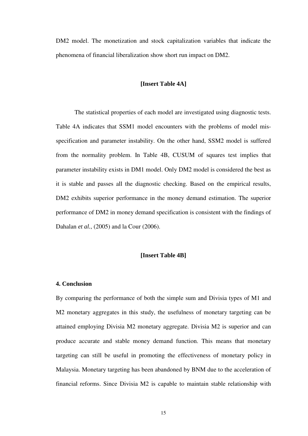DM2 model. The monetization and stock capitalization variables that indicate the phenomena of financial liberalization show short run impact on DM2.

# **[Insert Table 4A]**

The statistical properties of each model are investigated using diagnostic tests. Table 4A indicates that SSM1 model encounters with the problems of model misspecification and parameter instability. On the other hand, SSM2 model is suffered from the normality problem. In Table 4B, CUSUM of squares test implies that parameter instability exists in DM1 model. Only DM2 model is considered the best as it is stable and passes all the diagnostic checking. Based on the empirical results, DM2 exhibits superior performance in the money demand estimation. The superior performance of DM2 in money demand specification is consistent with the findings of Dahalan *et al.*, (2005) and la Cour (2006).

#### **[Insert Table 4B]**

### **4. Conclusion**

By comparing the performance of both the simple sum and Divisia types of M1 and M2 monetary aggregates in this study, the usefulness of monetary targeting can be attained employing Divisia M2 monetary aggregate. Divisia M2 is superior and can produce accurate and stable money demand function. This means that monetary targeting can still be useful in promoting the effectiveness of monetary policy in Malaysia. Monetary targeting has been abandoned by BNM due to the acceleration of financial reforms. Since Divisia M2 is capable to maintain stable relationship with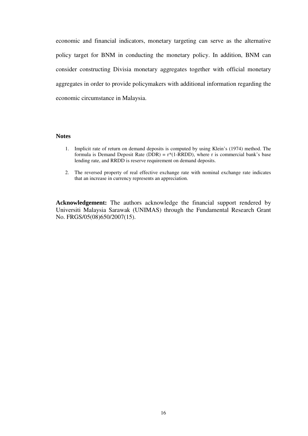economic and financial indicators, monetary targeting can serve as the alternative policy target for BNM in conducting the monetary policy. In addition, BNM can consider constructing Divisia monetary aggregates together with official monetary aggregates in order to provide policymakers with additional information regarding the economic circumstance in Malaysia.

# **Notes**

- 1. Implicit rate of return on demand deposits is computed by using Klein's (1974) method. The formula is Demand Deposit Rate (DDR) =  $r*(1-RRDD)$ , where r is commercial bank's base lending rate, and RRDD is reserve requirement on demand deposits.
- 2. The reversed property of real effective exchange rate with nominal exchange rate indicates that an increase in currency represents an appreciation.

**Acknowledgement:** The authors acknowledge the financial support rendered by Universiti Malaysia Sarawak (UNIMAS) through the Fundamental Research Grant No. FRGS/05(08)650/2007(15).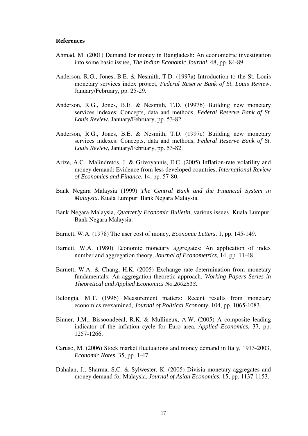#### **References**

- Ahmad, M. (2001) Demand for money in Bangladesh: An econometric investigation into some basic issues, *The Indian Economic Journal*, 48, pp. 84-89.
- Anderson, R.G., Jones, B.E. & Nesmith, T.D. (1997a) Introduction to the St. Louis monetary services index project, *Federal Reserve Bank of St. Louis Review*, January/February, pp. 25-29.
- Anderson, R.G., Jones, B.E. & Nesmith, T.D. (1997b) Building new monetary services indexes: Concepts, data and methods, *Federal Reserve Bank of St. Louis Review*, January/February, pp. 53-82.
- Anderson, R.G., Jones, B.E. & Nesmith, T.D. (1997c) Building new monetary services indexes: Concepts, data and methods, *Federal Reserve Bank of St. Louis Review*, January/February, pp. 53-82.
- Arize, A.C., Malindretos, J. & Grivoyannis, E.C. (2005) Inflation-rate volatility and money demand: Evidence from less developed countries, *International Review of Economics and Finance*, 14, pp. 57-80.
- Bank Negara Malaysia (1999) *The Central Bank and the Financial System in Malaysia.* Kuala Lumpur: Bank Negara Malaysia.
- Bank Negara Malaysia, *Quarterly Economic Bulletin*, various issues. Kuala Lumpur: Bank Negara Malaysia.
- Barnett, W.A. (1978) The user cost of money, *Economic Letters*, 1, pp. 145-149.
- Barnett, W.A. (1980) Economic monetary aggregates: An application of index number and aggregation theory, *Journal of Econometrics,* 14, pp. 11-48.
- Barnett, W.A. & Chang, H.K. (2005) Exchange rate determination from monetary fundamentals: An aggregation theoretic approach, *Working Papers Series in Theoretical and Applied Economics No.2002513.*
- Belongia, M.T. (1996) Measurement matters: Recent results from monetary economics reexamined, *Journal of Political Economy*, 104, pp. 1065-1083.
- Binner, J.M., Bissoondeeal, R.K. & Mullineux, A.W. (2005) A composite leading indicator of the inflation cycle for Euro area, *Applied Economics,* 37, pp. 1257-1266.
- Caruso, M. (2006) Stock market fluctuations and money demand in Italy, 1913-2003, *Economic Notes*, 35, pp. 1-47.
- Dahalan, J., Sharma, S.C. & Sylwester, K. (2005) Divisia monetary aggregates and money demand for Malaysia, *Journal of Asian Economics,* 15, pp. 1137-1153.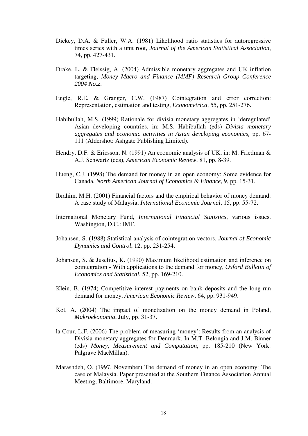- Dickey, D.A. & Fuller, W.A. (1981) Likelihood ratio statistics for autoregressive times series with a unit root, *Journal of the American Statistical Association*, 74, pp. 427-431.
- Drake, L. & Fleissig, A. (2004) Admissible monetary aggregates and UK inflation targeting, *Money Macro and Finance (MMF) Research Group Conference 2004 No.2.*
- Engle, R.E. & Granger, C.W. (1987) Cointegration and error correction: Representation, estimation and testing, *Econometrica*, 55, pp. 251-276.
- Habibullah, M.S. (1999) Rationale for divisia monetary aggregates in 'deregulated' Asian developing countries, in: M.S. Habibullah (eds) *Divisia monetary aggregates and economic activities in Asian developing economics,* pp. 67- 111 (Aldershot: Ashgate Publishing Limited).
- Hendry, D.F. & Ericsson, N. (1991) An economic analysis of UK, in: M. Friedman & A.J. Schwartz (eds), *American Economic Review*, 81, pp. 8-39.
- Hueng, C.J. (1998) The demand for money in an open economy: Some evidence for Canada, *North American Journal of Economics & Finance*, 9, pp. 15-31.
- Ibrahim, M.H. (2001) Financial factors and the empirical behavior of money demand: A case study of Malaysia, *International Economic Journal*, 15, pp. 55-72.
- International Monetary Fund, *International Financial Statistics*, various issues. Washington, D.C.: IMF.
- Johansen, S. (1988) Statistical analysis of cointegration vectors, *Journal of Economic Dynamics and Control*, 12, pp. 231-254.
- Johansen, S. & Juselius, K. (1990) Maximum likelihood estimation and inference on cointegration - With applications to the demand for money, *Oxford Bulletin of Economics and Statistical*, 52, pp. 169-210.
- Klein, B. (1974) Competitive interest payments on bank deposits and the long-run demand for money, *American Economic Review*, 64, pp. 931-949.
- Kot, A. (2004) The impact of monetization on the money demand in Poland, *Makroekonomia*, July, pp. 31-37.
- la Cour, L.F. (2006) The problem of measuring 'money': Results from an analysis of Divisia monetary aggregates for Denmark. In M.T. Belongia and J.M. Binner (eds) *Money, Measurement and Computation,* pp. 185-210 (New York: Palgrave MacMillan).
- Marashdeh, O. (1997, November) The demand of money in an open economy: The case of Malaysia. Paper presented at the Southern Finance Association Annual Meeting, Baltimore, Maryland.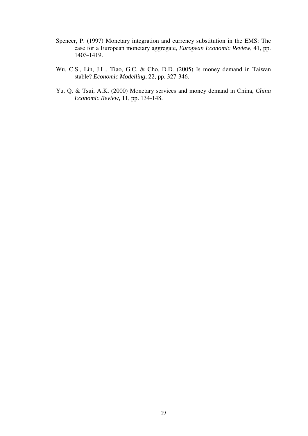- Spencer, P. (1997) Monetary integration and currency substitution in the EMS: The case for a European monetary aggregate, *European Economic Review*, 41, pp. 1403-1419.
- Wu, C.S., Lin, J.L., Tiao, G.C. & Cho, D.D. (2005) Is money demand in Taiwan stable? *Economic Modelling*, 22, pp. 327-346.
- Yu, Q. & Tsui, A.K. (2000) Monetary services and money demand in China, *China Economic Review,* 11, pp. 134-148.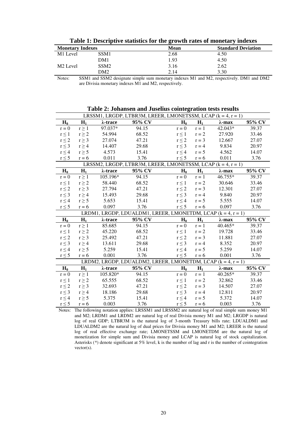|  | Table 1: Descriptive statistics for the growth rates of monetary indexes |  |
|--|--------------------------------------------------------------------------|--|
|  |                                                                          |  |

| <b>Monetary Indexes</b> |                  | <b>Mean</b> | <b>Standard Deviation</b> |
|-------------------------|------------------|-------------|---------------------------|
| M <sub>1</sub> Level    | SSM1             | 2.68        | 4.50                      |
|                         | DM1              | 1.93        | 4.50                      |
| M <sub>2</sub> Level    | SSM <sub>2</sub> | 3.16        | 2.62                      |
|                         | DM2              | 2.14        | 3.30                      |

Notes: SSM1 and SSM2 designate simple sum monetary indexes M1 and M2, respectively. DM1 and DM2 are Divisia monetary indexes M1 and M2, respectively.

| Table 2. Jonalisen and Juseilus connegration tests results     |            |          |                                                                |            |         |                |        |
|----------------------------------------------------------------|------------|----------|----------------------------------------------------------------|------------|---------|----------------|--------|
| LRSSM1, LRGDP, LTBR3M, LREER, LMONETSSM, LCAP $(k = 4, r = 1)$ |            |          |                                                                |            |         |                |        |
| $H_0$                                                          | $H_1$      | λ-trace  | 95% CV                                                         | $H_0$      | $H_1$   | $\lambda$ -max | 95% CV |
| $r = 0$                                                        | $r \geq 1$ | 97.037*  | 94.15                                                          | $r = 0$    | $r = 1$ | 42.043*        | 39.37  |
| $r \leq 1$                                                     | $r \geq 2$ | 54.994   | 68.52                                                          | $r \leq 1$ | $r = 2$ | 27.920         | 33.46  |
| $r \leq 2$                                                     | $r \geq 3$ | 27.074   | 47.21                                                          | $r \leq 2$ | $r = 3$ | 12.667         | 27.07  |
| $r \leq 3$                                                     | $r \geq 4$ | 14.407   | 29.68                                                          | $r \leq 3$ | $r = 4$ | 9.834          | 20.97  |
| $r \leq 4$                                                     | $r \geq 5$ | 4.573    | 15.41                                                          | $r \leq 4$ | $r = 5$ | 4.562          | 14.07  |
| $r \leq 5$                                                     | $r = 6$    | 0.011    | 3.76                                                           | $r \leq 5$ | $r = 6$ | 0.011          | 3.76   |
|                                                                |            |          | LRSSM2, LRGDP, LTBR3M, LREER, LMONETSSM, LCAP $(k = 4, r = 1)$ |            |         |                |        |
| $H_0$                                                          | $H_1$      | λ-trace  | 95% CV                                                         | $H_0$      | $H_1$   | $\lambda$ -max | 95% CV |
| $r = 0$                                                        | $r \geq 1$ | 105.196* | 94.15                                                          | $r = 0$    | $r = 1$ | 46.755*        | 39.37  |
| $r\leq 1$                                                      | $r \geq 2$ | 58.440   | 68.52                                                          | $r \leq 1$ | $r = 2$ | 30.646         | 33.46  |
| $r\leq 2$                                                      | $r \geq 3$ | 27.794   | 47.21                                                          | $r \leq 2$ | $r = 3$ | 12.301         | 27.07  |
| $r \leq 3$                                                     | $r \geq 4$ | 15.493   | 29.68                                                          | $r \leq 3$ | $r = 4$ | 9.840          | 20.97  |
| $r \leq 4$                                                     | $r \geq 5$ | 5.653    | 15.41                                                          | $r \leq 4$ | $r = 5$ | 5.555          | 14.07  |
| $r \leq 5$                                                     | $r = 6$    | 0.097    | 3.76                                                           | $r\leq 5$  | $r = 6$ | 0.097          | 3.76   |
|                                                                |            |          | LRDM1, LRGDP, LDUALDM1, LREER, LMONETDM, LCAP $(k = 4, r = 1)$ |            |         |                |        |
| $H_0$                                                          | $H_1$      | λ-trace  | 95% CV                                                         | $H_0$      | $H_1$   | $\lambda$ -max | 95% CV |
| $r = 0$                                                        | $r \geq 1$ | 85.685   | 94.15                                                          | $r = 0$    | $r = 1$ | 40.465*        | 39.37  |
| $r \leq 1$                                                     | $r \geq 2$ | 45.220   | 68.52                                                          | $r\leq 1$  | $r = 2$ | 19.728         | 33.46  |
| $r \leq 2$                                                     | $r \geq 3$ | 25.492   | 47.21                                                          | $r \leq 2$ | $r = 3$ | 11.881         | 27.07  |
| $r\leq 3$                                                      | $r \geq 4$ | 13.611   | 29.68                                                          | $r \leq 3$ | $r = 4$ | 8.352          | 20.97  |
| $r \leq 4$                                                     | $r \geq 5$ | 5.259    | 15.41                                                          | $r \leq 4$ | $r = 5$ | 5.259          | 14.07  |
| $r \leq 5$                                                     | $r = 6$    | 0.001    | 3.76                                                           | $r \leq 5$ | $r = 6$ | 0.001          | 3.76   |
| LRDM2, LRGDP, LDUALDM2, LREER, LMONETDM, LCAP $(k = 4, r = 1)$ |            |          |                                                                |            |         |                |        |
| $H_0$                                                          | $H_1$      | λ-trace  | 95% CV                                                         | $H_0$      | $H_1$   | $\lambda$ -max | 95% CV |
| $r = 0$                                                        | $r \geq 1$ | 105.820* | 94.15                                                          | $r = 0$    | $r = 1$ | $40.265*$      | 39.37  |
| $r \leq 1$                                                     | $r \geq 2$ | 65.555   | 68.52                                                          | $r \leq 1$ | $r = 2$ | 32.862         | 33.46  |
| $r \leq 2$                                                     | $r \geq 3$ | 32.693   | 47.21                                                          | $r \leq 2$ | $r = 3$ | 14.507         | 27.07  |
| $r \leq 3$                                                     | $r \geq 4$ | 18.186   | 29.68                                                          | $r \leq 3$ | $r = 4$ | 12.811         | 20.97  |
| $r \leq 4$                                                     | $r \geq 5$ | 5.375    | 15.41                                                          | $r \leq 4$ | $r = 5$ | 5.372          | 14.07  |
| $r \leq 5$                                                     | $r = 6$    | 0.003    | 3.76                                                           | $r \leq 5$ | $r = 6$ | 0.003          | 3.76   |

**Table 2: Johansen and Juselius cointegration tests results** 

Notes: The following notation applies: LRSSM1 and LRSSM2 are natural log of real simple sum money M1 and M2; LRDM1 and LRDM2 are natural log of real Divisia money M1 and M2; LRGDP is natural log of real GDP; LTBR3M is the natural log of 3-month Treasury bills rate; LDUALDM1 and LDUALDM2 are the natural log of dual prices for Divisia money M1 and M2; LREER is the natural log of real effective exchange rate; LMONETSSM and LMONETDM are the natural log of monetization for simple sum and Divisia money and LCAP is natural log of stock capitalization. Asterisks (\*) denote significant at 5% level, k is the number of lag and r is the number of cointegration vector(s).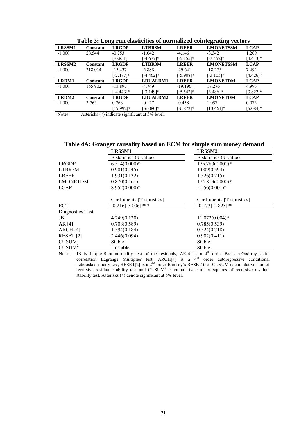| LRSSM1   | <b>Constant</b> | <b>LRGDP</b> | LTBR3M       | <b>LREER</b> | Tuble of Edlig Tull chooselers of Hollinghold collite anily recepts<br><b>LMONETSSM</b> | <b>LCAP</b> |
|----------|-----------------|--------------|--------------|--------------|-----------------------------------------------------------------------------------------|-------------|
| $-1.000$ | 28.544          | $-0.753$     | $-1.042$     | $-4.146$     | $-3.342$                                                                                | 1.209       |
|          |                 | $[-0.851]$   | $[-4.677]$ * | $[-5.155]$ * | $[-3.452]$ *                                                                            | [4.443]*    |
| LRSSM2   | <b>Constant</b> | <b>LRGDP</b> | LTBR3M       | <b>LREER</b> | <b>LMONETSSM</b>                                                                        | <b>LCAP</b> |
| $-1.000$ | 218.014         | $-13.437$    | $-5.888$     | $-29.641$    | $-18.275$                                                                               | 7.492       |
|          |                 | $[-2.477]$ * | $[-4.462]$ * | $[-5.908]$ * | $[-3.105]$ *                                                                            | $[4.426]$ * |
| LRDM1    | Constant        | <b>LRGDP</b> | LDUALDM1     | <b>LREER</b> | <b>LMONETDM</b>                                                                         | <b>LCAP</b> |
| $-1.000$ | 155.902         | $-13.897$    | $-4.749$     | $-19.196$    | 17.276                                                                                  | 4.993       |
|          |                 | $[-4.443]$ * | $[-3.149]$ * | $[-5.542]$ * | $[3.486]$ *                                                                             | $[3.822]$ * |
| LRDM2    | <b>Constant</b> | <b>LRGDP</b> | LDUALDM2     | <b>LREER</b> | <b>LMONETDM</b>                                                                         | <b>LCAP</b> |
| $-1.000$ | 3.763           | 0.768        | $-0.127$     | $-0.458$     | 1.057                                                                                   | 0.073       |
|          |                 | [19.992]*    | $[-6.080]$ * | $[-6.873]$ * | $[13.461]$ *                                                                            | $[5.084]$ * |

**Table 3: Long run elasticities of normalized cointegrating vectors** 

Notes: Asterisks (\*) indicate significant at 5% level.

#### **Table 4A: Granger causality based on ECM for simple sum money demand**

|                      | LRSSM1                             | LRSSM2                             |  |  |
|----------------------|------------------------------------|------------------------------------|--|--|
|                      | $F$ -statistics ( <i>p</i> -value) | $F$ -statistics ( <i>p</i> -value) |  |  |
| <b>LRGDP</b>         | $6.514(0.000)*$                    | 175.780(0.000)*                    |  |  |
| LTBR3M               | 0.901(0.445)                       | 1.009(0.394)                       |  |  |
| <b>LREER</b>         | 1.931(0.132)                       | 1.526(0.215)                       |  |  |
| <b>LMONETDM</b>      | 0.870(0.461)                       | 174.813(0.000)*                    |  |  |
| <b>LCAP</b>          | $8.952(0.000)*$                    | $5.556(0.001)*$                    |  |  |
|                      |                                    |                                    |  |  |
|                      | Coefficients [T-statistics]        | Coefficients [T-statistics]        |  |  |
| <b>ECT</b>           | $-0.216[-3.006]$ ***               | $-0.173[-2.823]**$                 |  |  |
| Diagnostics Test:    |                                    |                                    |  |  |
| JB.                  | 4.249(0.120)                       | $11.072(0.004)$ *                  |  |  |
| AR $[4]$             | 0.708(0.589)                       | 0.785(0.539)                       |  |  |
| ARCH[4]              | 1.594(0.184)                       | 0.524(0.718)                       |  |  |
| RESET <sub>[2]</sub> | 2.446(0.094)                       | 0.902(0.411)                       |  |  |
| <b>CUSUM</b>         | Stable                             | Stable                             |  |  |
| CUSUM <sup>2</sup>   | Unstable                           | Stable                             |  |  |

Notes: JB is Jarque-Bera normality test of the residuals, AR[4] is a 4<sup>th</sup> order Breusch-Godfrey serial  $correlation$  Lagrange Multiplier test, ARCH $[4]$  is a  $4<sup>th</sup>$  order autoregressive conditional heteroskedasticity test, RESET[2] is a 2<sup>nd</sup> order Ramsey's RESET test, CUSUM is cumulative sum of recursive residual stability test and  $CUSUM<sup>2</sup>$  is cumulative sum of squares of recursive residual stability test. Asterisks (\*) denote significant at 5% level.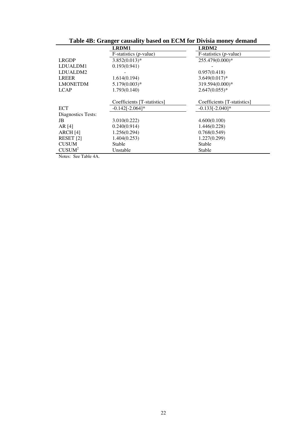| Table 4B: Granger causality based on ECM for Divisia money demand |                                    |  |  |
|-------------------------------------------------------------------|------------------------------------|--|--|
| LRDM1                                                             | LRDM2                              |  |  |
| $F$ -statistics ( <i>p</i> -value)                                | $F$ -statistics ( <i>p</i> -value) |  |  |
| $3.852(0.013)*$                                                   | 255.479(0.000)*                    |  |  |
| 0.193(0.941)                                                      |                                    |  |  |
|                                                                   | 0.957(0.418)                       |  |  |
| 1.614(0.194)                                                      | $3.649(0.017)$ *                   |  |  |
| $5.179(0.003)*$                                                   | 319.594(0.000)*                    |  |  |
| 1.793(0.140)                                                      | $2.647(0.055)*$                    |  |  |
|                                                                   |                                    |  |  |
| Coefficients [T-statistics]                                       | Coefficients [T-statistics]        |  |  |
| $-0.142[-2.064]*$                                                 | $-0.133[-2.040]*$                  |  |  |
|                                                                   |                                    |  |  |
| 3.010(0.222)                                                      | 4.600(0.100)                       |  |  |
| 0.240(0.914)                                                      | 1.446(0.228)                       |  |  |
| 1.256(0.294)                                                      | 0.768(0.549)                       |  |  |
| 1.404(0.253)                                                      | 1.227(0.299)                       |  |  |
| Stable                                                            | Stable                             |  |  |
| Unstable                                                          | Stable                             |  |  |
|                                                                   |                                    |  |  |

Notes: See Table 4A.